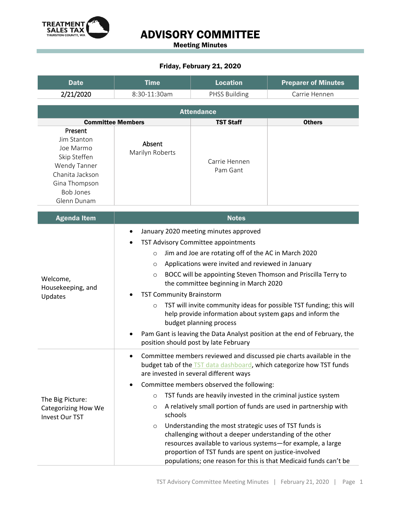

## ADVISORY COMMITTEE

Meeting Minutes

## Friday, February 21, 2020

| <b>Date</b>                                                                                                                                | <b>Time</b>                                                                                                                                                                                                                                                                                                                                                                                                                                                                                                                                                                                                                                                                                                                                        | <b>Location</b>           | <b>Preparer of Minutes</b> |
|--------------------------------------------------------------------------------------------------------------------------------------------|----------------------------------------------------------------------------------------------------------------------------------------------------------------------------------------------------------------------------------------------------------------------------------------------------------------------------------------------------------------------------------------------------------------------------------------------------------------------------------------------------------------------------------------------------------------------------------------------------------------------------------------------------------------------------------------------------------------------------------------------------|---------------------------|----------------------------|
| 2/21/2020                                                                                                                                  | 8:30-11:30am                                                                                                                                                                                                                                                                                                                                                                                                                                                                                                                                                                                                                                                                                                                                       | <b>PHSS Building</b>      | Carrie Hennen              |
| <b>Attendance</b>                                                                                                                          |                                                                                                                                                                                                                                                                                                                                                                                                                                                                                                                                                                                                                                                                                                                                                    |                           |                            |
|                                                                                                                                            | <b>Committee Members</b>                                                                                                                                                                                                                                                                                                                                                                                                                                                                                                                                                                                                                                                                                                                           | <b>TST Staff</b>          | <b>Others</b>              |
| Present<br>Jim Stanton<br>Joe Marmo<br>Skip Steffen<br>Wendy Tanner<br>Chanita Jackson<br>Gina Thompson<br><b>Bob Jones</b><br>Glenn Dunam | Absent<br>Marilyn Roberts                                                                                                                                                                                                                                                                                                                                                                                                                                                                                                                                                                                                                                                                                                                          | Carrie Hennen<br>Pam Gant |                            |
| <b>Agenda Item</b>                                                                                                                         |                                                                                                                                                                                                                                                                                                                                                                                                                                                                                                                                                                                                                                                                                                                                                    | <b>Notes</b>              |                            |
| Welcome,<br>Housekeeping, and<br>Updates                                                                                                   | January 2020 meeting minutes approved<br>TST Advisory Committee appointments<br>Jim and Joe are rotating off of the AC in March 2020<br>$\circ$<br>Applications were invited and reviewed in January<br>$\circ$<br>BOCC will be appointing Steven Thomson and Priscilla Terry to<br>$\circ$<br>the committee beginning in March 2020<br><b>TST Community Brainstorm</b><br>TST will invite community ideas for possible TST funding; this will<br>$\circ$<br>help provide information about system gaps and inform the<br>budget planning process<br>Pam Gant is leaving the Data Analyst position at the end of February, the<br>position should post by late February                                                                            |                           |                            |
| The Big Picture:<br><b>Categorizing How We</b><br><b>Invest Our TST</b>                                                                    | Committee members reviewed and discussed pie charts available in the<br>$\bullet$<br>budget tab of the <b>TST</b> data dashboard, which categorize how TST funds<br>are invested in several different ways<br>Committee members observed the following:<br>TST funds are heavily invested in the criminal justice system<br>$\circ$<br>A relatively small portion of funds are used in partnership with<br>O<br>schools<br>Understanding the most strategic uses of TST funds is<br>$\circ$<br>challenging without a deeper understanding of the other<br>resources available to various systems-for example, a large<br>proportion of TST funds are spent on justice-involved<br>populations; one reason for this is that Medicaid funds can't be |                           |                            |